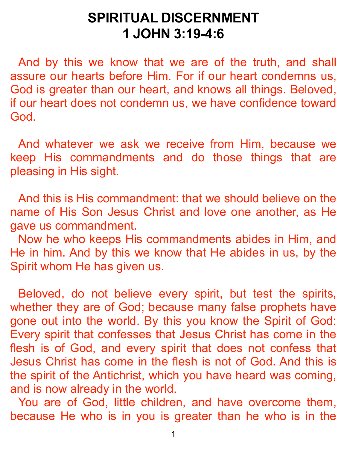## **SPIRITUAL DISCERNMENT 1 JOHN 3:19-4:6**

 And by this we know that we are of the truth, and shall assure our hearts before Him. For if our heart condemns us, God is greater than our heart, and knows all things. Beloved, if our heart does not condemn us, we have confidence toward God.

 And whatever we ask we receive from Him, because we keep His commandments and do those things that are pleasing in His sight.

 And this is His commandment: that we should believe on the name of His Son Jesus Christ and love one another, as He gave us commandment.

 Now he who keeps His commandments abides in Him, and He in him. And by this we know that He abides in us, by the Spirit whom He has given us.

 Beloved, do not believe every spirit, but test the spirits, whether they are of God; because many false prophets have gone out into the world. By this you know the Spirit of God: Every spirit that confesses that Jesus Christ has come in the flesh is of God, and every spirit that does not confess that Jesus Christ has come in the flesh is not of God. And this is the spirit of the Antichrist, which you have heard was coming, and is now already in the world.

 You are of God, little children, and have overcome them, because He who is in you is greater than he who is in the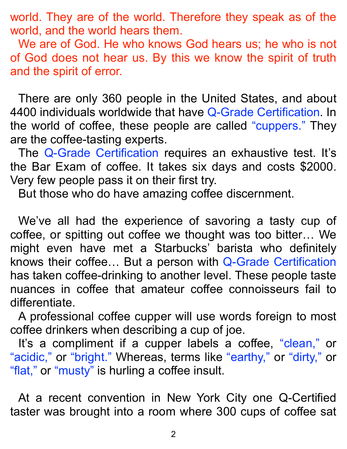world. They are of the world. Therefore they speak as of the world, and the world hears them.

 We are of God. He who knows God hears us; he who is not of God does not hear us. By this we know the spirit of truth and the spirit of error.

 There are only 360 people in the United States, and about 4400 individuals worldwide that have Q-Grade Certification. In the world of coffee, these people are called "cuppers." They are the coffee-tasting experts.

 The Q-Grade Certification requires an exhaustive test. It's the Bar Exam of coffee. It takes six days and costs \$2000. Very few people pass it on their first try.

But those who do have amazing coffee discernment.

 We've all had the experience of savoring a tasty cup of coffee, or spitting out coffee we thought was too bitter… We might even have met a Starbucks' barista who definitely knows their coffee… But a person with Q-Grade Certification has taken coffee-drinking to another level. These people taste nuances in coffee that amateur coffee connoisseurs fail to differentiate.

 A professional coffee cupper will use words foreign to most coffee drinkers when describing a cup of joe.

It's a compliment if a cupper labels a coffee, "clean," or "acidic," or "bright." Whereas, terms like "earthy," or "dirty," or "flat," or "musty" is hurling a coffee insult.

 At a recent convention in New York City one Q-Certified taster was brought into a room where 300 cups of coffee sat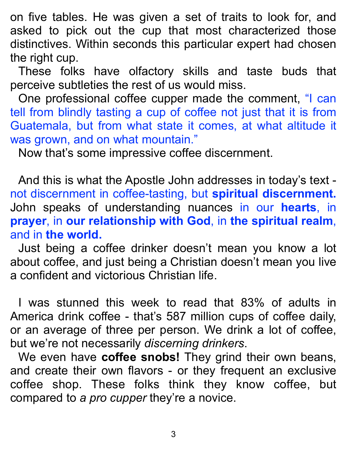on five tables. He was given a set of traits to look for, and asked to pick out the cup that most characterized those distinctives. Within seconds this particular expert had chosen the right cup.

 These folks have olfactory skills and taste buds that perceive subtleties the rest of us would miss.

 One professional coffee cupper made the comment, "I can tell from blindly tasting a cup of coffee not just that it is from Guatemala, but from what state it comes, at what altitude it was grown, and on what mountain."

Now that's some impressive coffee discernment.

 And this is what the Apostle John addresses in today's text not discernment in coffee-tasting, but **spiritual discernment.** John speaks of understanding nuances in our **hearts**, in **prayer**, in **our relationship with God**, in **the spiritual realm**, and in **the world.**

 Just being a coffee drinker doesn't mean you know a lot about coffee, and just being a Christian doesn't mean you live a confident and victorious Christian life.

 I was stunned this week to read that 83% of adults in America drink coffee - that's 587 million cups of coffee daily, or an average of three per person. We drink a lot of coffee, but we're not necessarily *discerning drinkers*.

 We even have **coffee snobs!** They grind their own beans, and create their own flavors - or they frequent an exclusive coffee shop. These folks think they know coffee, but compared to *a pro cupper* they're a novice.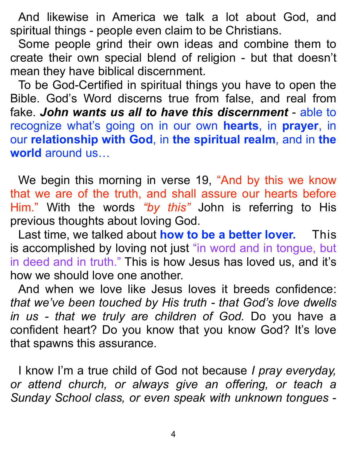And likewise in America we talk a lot about God, and spiritual things - people even claim to be Christians.

 Some people grind their own ideas and combine them to create their own special blend of religion - but that doesn't mean they have biblical discernment.

 To be God-Certified in spiritual things you have to open the Bible. God's Word discerns true from false, and real from fake. *John wants us all to have this discernment* - able to recognize what's going on in our own **hearts**, in **prayer**, in our **relationship with God**, in **the spiritual realm**, and in **the world** around us…

We begin this morning in verse 19, "And by this we know that we are of the truth, and shall assure our hearts before Him." With the words *"by this"* John is referring to His previous thoughts about loving God.

 Last time, we talked about **how to be a better lover.** This is accomplished by loving not just "in word and in tongue, but in deed and in truth." This is how Jesus has loved us, and it's how we should love one another.

 And when we love like Jesus loves it breeds confidence: *that we've been touched by His truth - that God's love dwells in us - that we truly are children of God.* Do you have a confident heart? Do you know that you know God? It's love that spawns this assurance.

 I know I'm a true child of God not because *I pray everyday, or attend church, or always give an offering, or teach a Sunday School class, or even speak with unknown tongues* -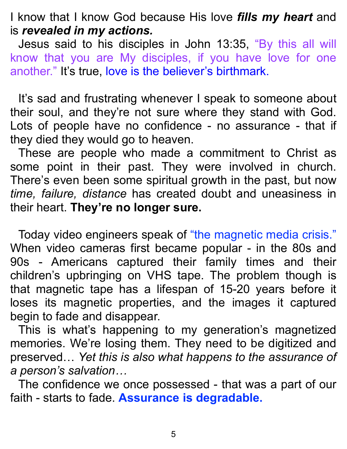I know that I know God because His love *fills my heart* and is *revealed in my actions.*

 Jesus said to his disciples in John 13:35, "By this all will know that you are My disciples, if you have love for one another." It's true, love is the believer's birthmark.

It's sad and frustrating whenever I speak to someone about their soul, and they're not sure where they stand with God. Lots of people have no confidence - no assurance - that if they died they would go to heaven.

 These are people who made a commitment to Christ as some point in their past. They were involved in church. There's even been some spiritual growth in the past, but now *time, failure, distance* has created doubt and uneasiness in their heart. **They're no longer sure.**

 Today video engineers speak of "the magnetic media crisis." When video cameras first became popular - in the 80s and 90s - Americans captured their family times and their children's upbringing on VHS tape. The problem though is that magnetic tape has a lifespan of 15-20 years before it loses its magnetic properties, and the images it captured begin to fade and disappear.

 This is what's happening to my generation's magnetized memories. We're losing them. They need to be digitized and preserved… *Yet this is also what happens to the assurance of a person's salvation…*

 The confidence we once possessed - that was a part of our faith - starts to fade. **Assurance is degradable.**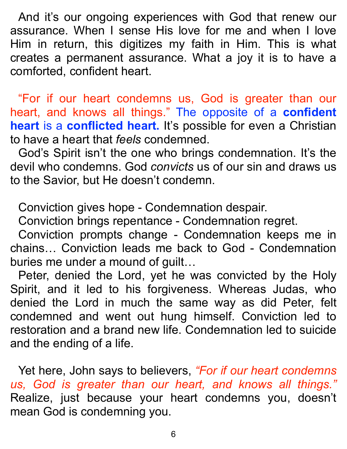And it's our ongoing experiences with God that renew our assurance. When I sense His love for me and when I love Him in return, this digitizes my faith in Him. This is what creates a permanent assurance. What a joy it is to have a comforted, confident heart.

"For if our heart condemns us, God is greater than our heart, and knows all things." The opposite of a **confident heart** is a **conflicted heart.** It's possible for even a Christian to have a heart that *feels* condemned.

 God's Spirit isn't the one who brings condemnation. It's the devil who condemns. God *convicts* us of our sin and draws us to the Savior, but He doesn't condemn.

Conviction gives hope - Condemnation despair.

Conviction brings repentance - Condemnation regret.

 Conviction prompts change - Condemnation keeps me in chains… Conviction leads me back to God - Condemnation buries me under a mound of guilt…

 Peter, denied the Lord, yet he was convicted by the Holy Spirit, and it led to his forgiveness. Whereas Judas, who denied the Lord in much the same way as did Peter, felt condemned and went out hung himself. Conviction led to restoration and a brand new life. Condemnation led to suicide and the ending of a life.

 Yet here, John says to believers, *"For if our heart condemns us, God is greater than our heart, and knows all things."* Realize, just because your heart condemns you, doesn't mean God is condemning you.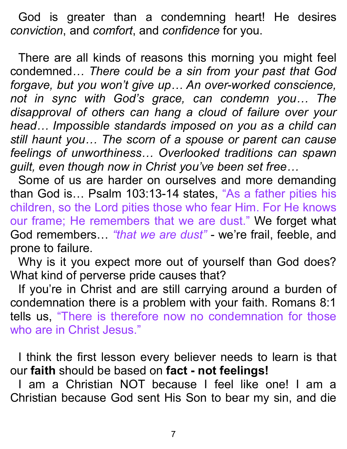God is greater than a condemning heart! He desires *conviction*, and *comfort*, and *confidence* for you.

 There are all kinds of reasons this morning you might feel condemned*… There could be a sin from your past that God forgave, but you won't give up… An over-worked conscience, not in sync with God's grace, can condemn you… The disapproval of others can hang a cloud of failure over your head… Impossible standards imposed on you as a child can still haunt you… The scorn of a spouse or parent can cause feelings of unworthiness… Overlooked traditions can spawn guilt, even though now in Christ you've been set free…* 

Some of us are harder on ourselves and more demanding than God is… Psalm 103:13-14 states, "As a father pities his children, so the Lord pities those who fear Him. For He knows our frame; He remembers that we are dust." We forget what God remembers… *"that we are dust"* - we're frail, feeble, and prone to failure.

 Why is it you expect more out of yourself than God does? What kind of perverse pride causes that?

 If you're in Christ and are still carrying around a burden of condemnation there is a problem with your faith. Romans 8:1 tells us, "There is therefore now no condemnation for those who are in Christ Jesus."

 I think the first lesson every believer needs to learn is that our **faith** should be based on **fact - not feelings!**

 I am a Christian NOT because I feel like one! I am a Christian because God sent His Son to bear my sin, and die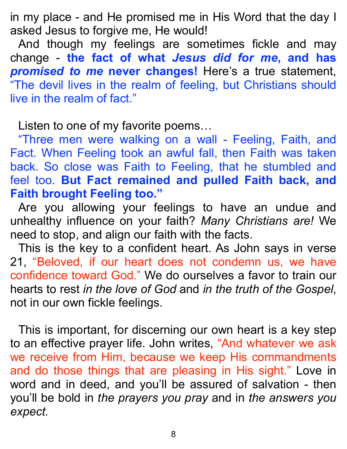in my place - and He promised me in His Word that the day I asked Jesus to forgive me, He would!

 And though my feelings are sometimes fickle and may change - **the fact of what** *Jesus did for me***, and has**  *promised to me* **never changes!** Here's a true statement, "The devil lives in the realm of feeling, but Christians should live in the realm of fact."

Listen to one of my favorite poems…

"Three men were walking on a wall - Feeling, Faith, and Fact. When Feeling took an awful fall, then Faith was taken back. So close was Faith to Feeling, that he stumbled and feel too. **But Fact remained and pulled Faith back, and Faith brought Feeling too."**

 Are you allowing your feelings to have an undue and unhealthy influence on your faith? *Many Christians are!* We need to stop, and align our faith with the facts.

 This is the key to a confident heart. As John says in verse 21, "Beloved, if our heart does not condemn us, we have confidence toward God." We do ourselves a favor to train our hearts to rest *in the love of God* and *in the truth of the Gospel*, not in our own fickle feelings.

 This is important, for discerning our own heart is a key step to an effective prayer life. John writes, "And whatever we ask we receive from Him, because we keep His commandments and do those things that are pleasing in His sight." Love in word and in deed, and you'll be assured of salvation - then you'll be bold in *the prayers you pray* and in *the answers you expect.*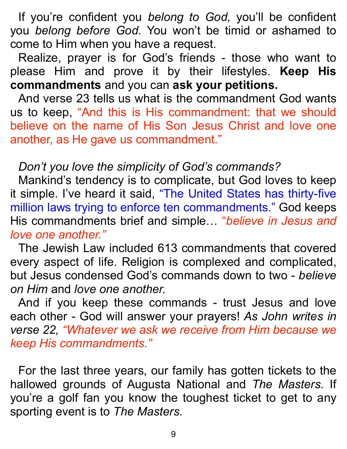If you're confident you *belong to God,* you'll be confident you *belong before God.* You won't be timid or ashamed to come to Him when you have a request.

 Realize, prayer is for God's friends - those who want to please Him and prove it by their lifestyles. **Keep His commandments** and you can **ask your petitions.**

 And verse 23 tells us what is the commandment God wants us to keep, "And this is His commandment: that we should believe on the name of His Son Jesus Christ and love one another, as He gave us commandment."

## *Don't you love the simplicity of God's commands?*

 Mankind's tendency is to complicate, but God loves to keep it simple. I've heard it said, "The United States has thirty-five million laws trying to enforce ten commandments." God keeps His commandments brief and simple… "*believe in Jesus and love one another."*

 The Jewish Law included 613 commandments that covered every aspect of life. Religion is complexed and complicated, but Jesus condensed God's commands down to two - *believe on Him* and *love one another.*

And if you keep these commands - trust Jesus and love each other - God will answer your prayers! *As John writes in verse 22, "Whatever we ask we receive from Him because we keep His commandments."*

 For the last three years, our family has gotten tickets to the hallowed grounds of Augusta National and *The Masters.* If you're a golf fan you know the toughest ticket to get to any sporting event is to *The Masters.*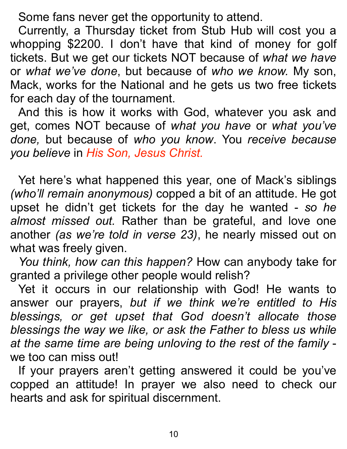Some fans never get the opportunity to attend.

 Currently, a Thursday ticket from Stub Hub will cost you a whopping \$2200. I don't have that kind of money for golf tickets. But we get our tickets NOT because of *what we have* or *what we've done*, but because of *who we know.* My son, Mack, works for the National and he gets us two free tickets for each day of the tournament.

 And this is how it works with God, whatever you ask and get, comes NOT because of *what you have* or *what you've done,* but because of *who you know*. You *receive because you believe* in *His Son, Jesus Christ.*

 Yet here's what happened this year, one of Mack's siblings *(who'll remain anonymous)* copped a bit of an attitude. He got upset he didn't get tickets for the day he wanted - *so he almost missed out.* Rather than be grateful, and love one another *(as we're told in verse 23)*, he nearly missed out on what was freely given.

*You think, how can this happen?* How can anybody take for granted a privilege other people would relish?

 Yet it occurs in our relationship with God! He wants to answer our prayers, *but if we think we're entitled to His blessings, or get upset that God doesn't allocate those blessings the way we like, or ask the Father to bless us while at the same time are being unloving to the rest of the family* we too can miss out!

 If your prayers aren't getting answered it could be you've copped an attitude! In prayer we also need to check our hearts and ask for spiritual discernment.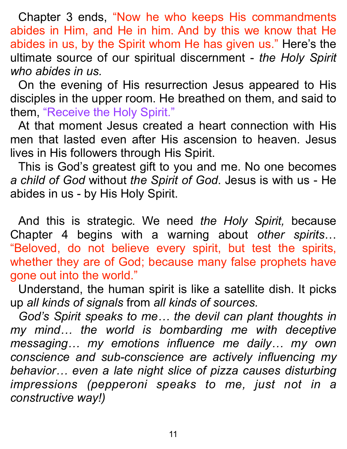Chapter 3 ends, "Now he who keeps His commandments abides in Him, and He in him. And by this we know that He abides in us, by the Spirit whom He has given us." Here's the ultimate source of our spiritual discernment - *the Holy Spirit who abides in us.* 

 On the evening of His resurrection Jesus appeared to His disciples in the upper room. He breathed on them, and said to them, "Receive the Holy Spirit."

At that moment Jesus created a heart connection with His men that lasted even after His ascension to heaven. Jesus lives in His followers through His Spirit.

 This is God's greatest gift to you and me. No one becomes *a child of God* without *the Spirit of God*. Jesus is with us - He abides in us - by His Holy Spirit.

 And this is strategic. We need *the Holy Spirit,* because Chapter 4 begins with a warning about *other spirits*… "Beloved, do not believe every spirit, but test the spirits, whether they are of God; because many false prophets have gone out into the world."

 Understand, the human spirit is like a satellite dish. It picks up *all kinds of signals* from *all kinds of sources.*

*God's Spirit speaks to me… the devil can plant thoughts in my mind… the world is bombarding me with deceptive messaging… my emotions influence me daily… my own conscience and sub-conscience are actively influencing my behavior… even a late night slice of pizza causes disturbing impressions (pepperoni speaks to me, just not in a constructive way!)*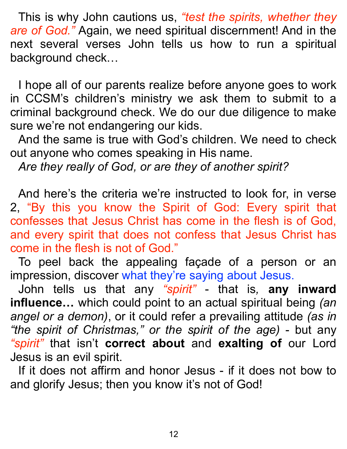This is why John cautions us, *"test the spirits, whether they are of God."* Again, we need spiritual discernment! And in the next several verses John tells us how to run a spiritual background check…

 I hope all of our parents realize before anyone goes to work in CCSM's children's ministry we ask them to submit to a criminal background check. We do our due diligence to make sure we're not endangering our kids.

 And the same is true with God's children. We need to check out anyone who comes speaking in His name.

*Are they really of God, or are they of another spirit?*

 And here's the criteria we're instructed to look for, in verse 2, "By this you know the Spirit of God: Every spirit that confesses that Jesus Christ has come in the flesh is of God, and every spirit that does not confess that Jesus Christ has come in the flesh is not of God."

To peel back the appealing façade of a person or an impression, discover what they're saying about Jesus.

 John tells us that any *"spirit"* - that is*,* **any inward influence…** which could point to an actual spiritual being *(an angel or a demon)*, or it could refer a prevailing attitude *(as in "the spirit of Christmas," or the spirit of the age)* - but any *"spirit"* that isn't **correct about** and **exalting of** our Lord Jesus is an evil spirit.

 If it does not affirm and honor Jesus - if it does not bow to and glorify Jesus; then you know it's not of God!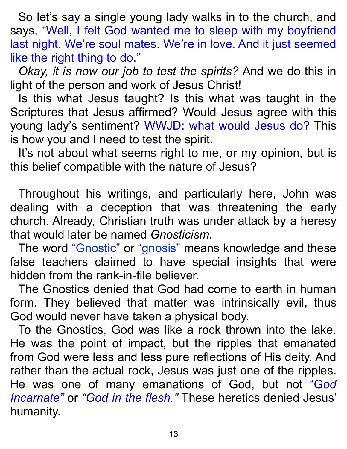So let's say a single young lady walks in to the church, and says, "Well, I felt God wanted me to sleep with my boyfriend last night. We're soul mates. We're in love. And it just seemed like the right thing to do."

*Okay, it is now our job to test the spirits?* And we do this in light of the person and work of Jesus Christ!

 Is this what Jesus taught? Is this what was taught in the Scriptures that Jesus affirmed? Would Jesus agree with this young lady's sentiment? WWJD: what would Jesus do? This is how you and I need to test the spirit.

It's not about what seems right to me, or my opinion, but is this belief compatible with the nature of Jesus?

 Throughout his writings, and particularly here, John was dealing with a deception that was threatening the early church. Already, Christian truth was under attack by a heresy that would later be named *Gnosticism*.

 The word "Gnostic" or "gnosis" means knowledge and these false teachers claimed to have special insights that were hidden from the rank-in-file believer.

 The Gnostics denied that God had come to earth in human form. They believed that matter was intrinsically evil, thus God would never have taken a physical body.

 To the Gnostics, God was like a rock thrown into the lake. He was the point of impact, but the ripples that emanated from God were less and less pure reflections of His deity. And rather than the actual rock, Jesus was just one of the ripples. He was one of many emanations of God, but not "G*od Incarnate"* or *"God in the flesh."* These heretics denied Jesus' humanity.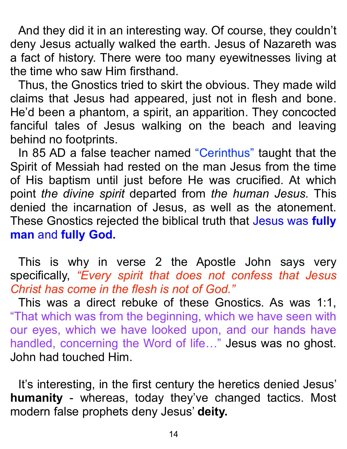And they did it in an interesting way. Of course, they couldn't deny Jesus actually walked the earth. Jesus of Nazareth was a fact of history. There were too many eyewitnesses living at the time who saw Him firsthand.

 Thus, the Gnostics tried to skirt the obvious. They made wild claims that Jesus had appeared, just not in flesh and bone. He'd been a phantom, a spirit, an apparition. They concocted fanciful tales of Jesus walking on the beach and leaving behind no footprints.

In 85 AD a false teacher named "Cerinthus" taught that the Spirit of Messiah had rested on the man Jesus from the time of His baptism until just before He was crucified. At which point *the divine spirit* departed from *the human Jesus.* This denied the incarnation of Jesus, as well as the atonement. These Gnostics rejected the biblical truth that Jesus was **fully man** and **fully God.**

 This is why in verse 2 the Apostle John says very specifically, *"Every spirit that does not confess that Jesus Christ has come in the flesh is not of God."* 

This was a direct rebuke of these Gnostics. As was 1:1, "That which was from the beginning, which we have seen with our eyes, which we have looked upon, and our hands have handled, concerning the Word of life…" Jesus was no ghost. John had touched Him.

 It's interesting, in the first century the heretics denied Jesus' **humanity** - whereas, today they've changed tactics. Most modern false prophets deny Jesus' **deity.**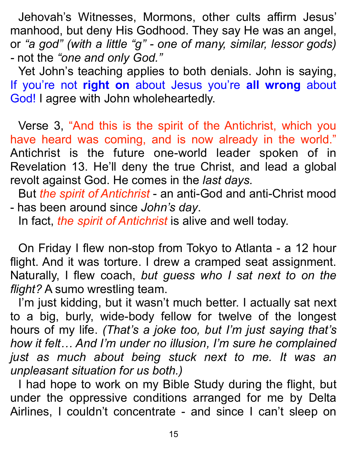Jehovah's Witnesses, Mormons, other cults affirm Jesus' manhood, but deny His Godhood. They say He was an angel, or *"a god" (with a little "g" - one of many, similar, lessor gods) -* not the *"one and only God."* 

Yet John's teaching applies to both denials. John is saying, If you're not **right on** about Jesus you're **all wrong** about God! I agree with John wholeheartedly.

 Verse 3, "And this is the spirit of the Antichrist, which you have heard was coming, and is now already in the world." Antichrist is the future one-world leader spoken of in Revelation 13. He'll deny the true Christ, and lead a global revolt against God. He comes in the *last days.* 

But *the spirit of Antichrist* - an anti-God and anti-Christ mood - has been around since *John's day*.

In fact, *the spirit of Antichrist* is alive and well today.

 On Friday I flew non-stop from Tokyo to Atlanta - a 12 hour flight. And it was torture. I drew a cramped seat assignment. Naturally, I flew coach, *but guess who I sat next to on the flight?* A sumo wrestling team.

 I'm just kidding, but it wasn't much better. I actually sat next to a big, burly, wide-body fellow for twelve of the longest hours of my life. *(That's a joke too, but I'm just saying that's how it felt… And I'm under no illusion, I'm sure he complained just as much about being stuck next to me. It was an unpleasant situation for us both.)*

 I had hope to work on my Bible Study during the flight, but under the oppressive conditions arranged for me by Delta Airlines, I couldn't concentrate - and since I can't sleep on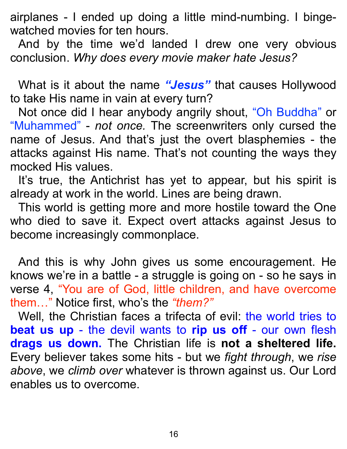airplanes - I ended up doing a little mind-numbing. I bingewatched movies for ten hours.

 And by the time we'd landed I drew one very obvious conclusion. *Why does every movie maker hate Jesus?*

 What is it about the name *"Jesus"* that causes Hollywood to take His name in vain at every turn?

 Not once did I hear anybody angrily shout, "Oh Buddha" or "Muhammed" - *not once.* The screenwriters only cursed the name of Jesus. And that's just the overt blasphemies - the attacks against His name. That's not counting the ways they mocked His values.

 It's true, the Antichrist has yet to appear, but his spirit is already at work in the world. Lines are being drawn.

 This world is getting more and more hostile toward the One who died to save it. Expect overt attacks against Jesus to become increasingly commonplace.

 And this is why John gives us some encouragement. He knows we're in a battle - a struggle is going on - so he says in verse 4, "You are of God, little children, and have overcome them…" Notice first, who's the *"them?"* 

Well, the Christian faces a trifecta of evil: the world tries to **beat us up** - the devil wants to **rip us off** - our own flesh **drags us down.** The Christian life is **not a sheltered life.**  Every believer takes some hits - but we *fight through*, we *rise above*, we *climb over* whatever is thrown against us. Our Lord enables us to overcome.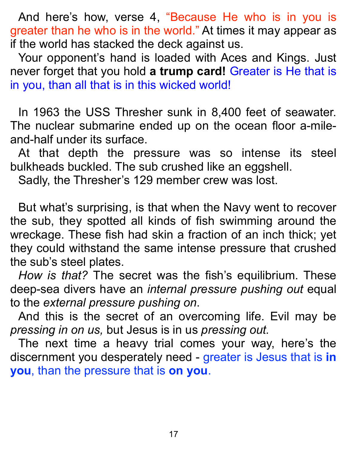And here's how, verse 4, "Because He who is in you is greater than he who is in the world." At times it may appear as if the world has stacked the deck against us.

 Your opponent's hand is loaded with Aces and Kings. Just never forget that you hold **a trump card!** Greater is He that is in you, than all that is in this wicked world!

 In 1963 the USS Thresher sunk in 8,400 feet of seawater. The nuclear submarine ended up on the ocean floor a-mileand-half under its surface.

 At that depth the pressure was so intense its steel bulkheads buckled. The sub crushed like an eggshell.

Sadly, the Thresher's 129 member crew was lost.

 But what's surprising, is that when the Navy went to recover the sub, they spotted all kinds of fish swimming around the wreckage. These fish had skin a fraction of an inch thick; yet they could withstand the same intense pressure that crushed the sub's steel plates.

*How is that?* The secret was the fish's equilibrium. These deep-sea divers have an *internal pressure pushing out* equal to the *external pressure pushing on*.

 And this is the secret of an overcoming life. Evil may be *pressing in on us,* but Jesus is in us *pressing out.* 

 The next time a heavy trial comes your way, here's the discernment you desperately need - greater is Jesus that is **in you**, than the pressure that is **on you**.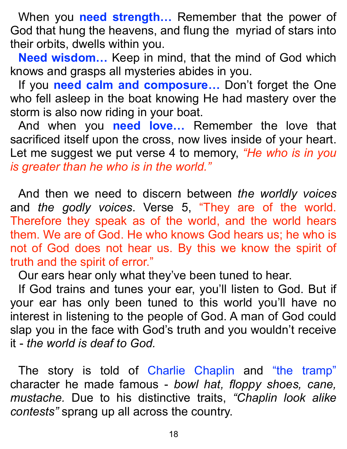When you **need strength…** Remember that the power of God that hung the heavens, and flung the myriad of stars into their orbits, dwells within you.

**Need wisdom…** Keep in mind, that the mind of God which knows and grasps all mysteries abides in you.

 If you **need calm and composure…** Don't forget the One who fell asleep in the boat knowing He had mastery over the storm is also now riding in your boat.

 And when you **need love…** Remember the love that sacrificed itself upon the cross, now lives inside of your heart. Let me suggest we put verse 4 to memory, *"He who is in you is greater than he who is in the world."*

 And then we need to discern between *the worldly voices* and *the godly voices*. Verse 5, "They are of the world. Therefore they speak as of the world, and the world hears them. We are of God. He who knows God hears us; he who is not of God does not hear us. By this we know the spirit of truth and the spirit of error."

Our ears hear only what they've been tuned to hear.

 If God trains and tunes your ear, you'll listen to God. But if your ear has only been tuned to this world you'll have no interest in listening to the people of God. A man of God could slap you in the face with God's truth and you wouldn't receive it - *the world is deaf to God.*

 The story is told of Charlie Chaplin and "the tramp" character he made famous - *bowl hat, floppy shoes, cane, mustache.* Due to his distinctive traits, *"Chaplin look alike contests"* sprang up all across the country.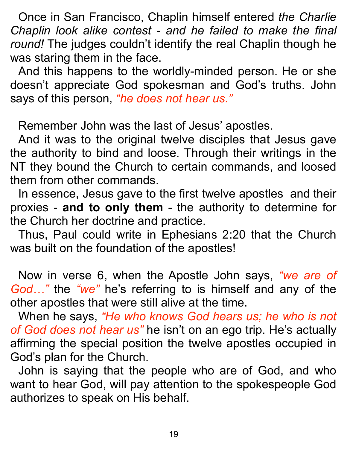Once in San Francisco, Chaplin himself entered *the Charlie Chaplin look alike contest - and he failed to make the final round!* The judges couldn't identify the real Chaplin though he was staring them in the face.

 And this happens to the worldly-minded person. He or she doesn't appreciate God spokesman and God's truths. John says of this person, *"he does not hear us."*

Remember John was the last of Jesus' apostles.

 And it was to the original twelve disciples that Jesus gave the authority to bind and loose. Through their writings in the NT they bound the Church to certain commands, and loosed them from other commands.

 In essence, Jesus gave to the first twelve apostles and their proxies - **and to only them** - the authority to determine for the Church her doctrine and practice.

 Thus, Paul could write in Ephesians 2:20 that the Church was built on the foundation of the apostles!

 Now in verse 6, when the Apostle John says, *"we are of God…"* the *"we"* he's referring to is himself and any of the other apostles that were still alive at the time.

 When he says, *"He who knows God hears us; he who is not of God does not hear us"* he isn't on an ego trip. He's actually affirming the special position the twelve apostles occupied in God's plan for the Church.

 John is saying that the people who are of God, and who want to hear God, will pay attention to the spokespeople God authorizes to speak on His behalf.